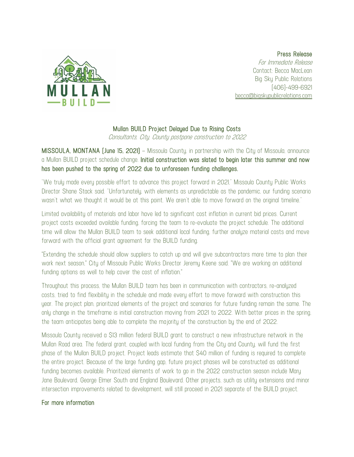

Press Release

For Immediate Release Contact: Becca MacLean Big Sky Public Relations (406)-499-6921 becca@bigskypublicrelations.com

## Mullan BUILD Project Delayed Due to Rising Costs

Consultants, City, County postpone construction to 2022

MISSOULA, MONTANA (June 15, 2021) – Missoula County, in partnership with the City of Missoula, announce a Mullan BUILD project schedule change. Initial construction was slated to begin later this summer and now has been pushed to the spring of 2022 due to unforeseen funding challenges.

"We truly made every possible effort to advance this project forward in 2021," Missoula County Public Works Director Shane Stack said. "Unfortunately, with elements as unpredictable as the pandemic, our funding scenario wasn't what we thought it would be at this point. We aren't able to move forward on the original timeline."

Limited availability of materials and labor have led to significant cost inflation in current bid prices. Current project costs exceeded available funding, forcing the team to re-evaluate the project schedule. The additional time will allow the Mullan BUILD team to seek additional local funding, further analyze material costs and move forward with the official grant agreement for the BUILD funding.

"Extending the schedule should allow suppliers to catch up and will give subcontractors more time to plan their work next season," City of Missoula Public Works Director Jeremy Keene said. "We are working on additional funding options as well to help cover the cost of inflation."

Throughout this process, the Mullan BUILD team has been in communication with contractors, re-analyzed costs, tried to find flexibility in the schedule and made every effort to move forward with construction this year. The project plan, prioritized elements of the project and scenarios for future funding remain the same. The only change in the timeframe is initial construction moving from 2021 to 2022. With better prices in the spring, the team anticipates being able to complete the majority of the construction by the end of 2022.

Missoula County received a \$13 million federal BUILD grant to construct a new infrastructure network in the Mullan Road area. The federal grant, coupled with local funding from the City and County, will fund the first phase of the Mullan BUILD project. Project leads estimate that \$40 million of funding is required to complete the entire project. Because of the large funding gap, future project phases will be constructed as additional funding becomes available. Prioritized elements of work to go in the 2022 construction season include Mary Jane Boulevard, George Elmer South and England Boulevard. Other projects, such as utility extensions and minor intersection improvements related to development, will still proceed in 2021 separate of the BUILD project.

## For more information